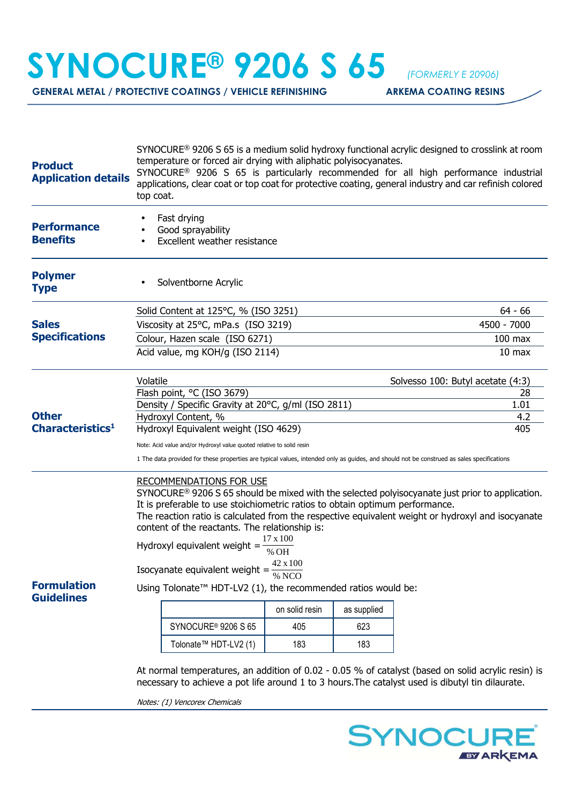## **SYNOCURE® 9206 S 65** *(FORMERLY E 20906)*

GENERAL METAL / PROTECTIVE COATINGS / VEHICLE REFINISHING **ARKEMA COATING RESINS** 

| <b>Product</b><br><b>Application details</b> | SYNOCURE <sup>®</sup> 9206 S 65 is a medium solid hydroxy functional acrylic designed to crosslink at room<br>temperature or forced air drying with aliphatic polyisocyanates.<br>SYNOCURE <sup>®</sup> 9206 S 65 is particularly recommended for all high performance industrial<br>applications, clear coat or top coat for protective coating, general industry and car refinish colored<br>top coat.                                             |                   |             |  |  |
|----------------------------------------------|------------------------------------------------------------------------------------------------------------------------------------------------------------------------------------------------------------------------------------------------------------------------------------------------------------------------------------------------------------------------------------------------------------------------------------------------------|-------------------|-------------|--|--|
| <b>Performance</b><br><b>Benefits</b>        | Fast drying<br>Good sprayability<br>Excellent weather resistance                                                                                                                                                                                                                                                                                                                                                                                     |                   |             |  |  |
| <b>Polymer</b><br><b>Type</b>                | Solventborne Acrylic                                                                                                                                                                                                                                                                                                                                                                                                                                 |                   |             |  |  |
|                                              | Solid Content at 125°C, % (ISO 3251)                                                                                                                                                                                                                                                                                                                                                                                                                 | $64 - 66$         |             |  |  |
| <b>Sales</b><br><b>Specifications</b>        | Viscosity at 25°C, mPa.s (ISO 3219)                                                                                                                                                                                                                                                                                                                                                                                                                  | 4500 - 7000       |             |  |  |
|                                              | Colour, Hazen scale (ISO 6271)                                                                                                                                                                                                                                                                                                                                                                                                                       | $100$ max         |             |  |  |
|                                              | Acid value, mg KOH/g (ISO 2114)                                                                                                                                                                                                                                                                                                                                                                                                                      | 10 <sub>max</sub> |             |  |  |
|                                              | Volatile<br>Solvesso 100: Butyl acetate (4:3)                                                                                                                                                                                                                                                                                                                                                                                                        |                   |             |  |  |
|                                              | Flash point, °C (ISO 3679)                                                                                                                                                                                                                                                                                                                                                                                                                           | 28                |             |  |  |
| <b>Other</b>                                 | Density / Specific Gravity at 20°C, g/ml (ISO 2811)<br>Hydroxyl Content, %                                                                                                                                                                                                                                                                                                                                                                           | 1.01<br>4.2       |             |  |  |
| Characteristics <sup>1</sup>                 | Hydroxyl Equivalent weight (ISO 4629)                                                                                                                                                                                                                                                                                                                                                                                                                | 405               |             |  |  |
|                                              | Note: Acid value and/or Hydroxyl value quoted relative to solid resin                                                                                                                                                                                                                                                                                                                                                                                |                   |             |  |  |
|                                              | 1 The data provided for these properties are typical values, intended only as guides, and should not be construed as sales specifications                                                                                                                                                                                                                                                                                                            |                   |             |  |  |
|                                              | <b>RECOMMENDATIONS FOR USE</b><br>SYNOCURE <sup>®</sup> 9206 S 65 should be mixed with the selected polyisocyanate just prior to application.<br>It is preferable to use stoichiometric ratios to obtain optimum performance.<br>The reaction ratio is calculated from the respective equivalent weight or hydroxyl and isocyanate<br>content of the reactants. The relationship is:<br>17 x 100<br>Hydroxyl equivalent weight =<br>% OH<br>42 x 100 |                   |             |  |  |
|                                              | Isocyanate equivalent weight = $\frac{42}{\alpha}$<br>% NCO                                                                                                                                                                                                                                                                                                                                                                                          |                   |             |  |  |
| <b>Formulation</b><br><b>Guidelines</b>      | Using Tolonate <sup>™</sup> HDT-LV2 (1), the recommended ratios would be:                                                                                                                                                                                                                                                                                                                                                                            |                   |             |  |  |
|                                              |                                                                                                                                                                                                                                                                                                                                                                                                                                                      | on solid resin    | as supplied |  |  |
|                                              | SYNOCURE <sup>®</sup> 9206 S 65                                                                                                                                                                                                                                                                                                                                                                                                                      | 405               | 623         |  |  |
|                                              | Tolonate <sup>™</sup> HDT-LV2 (1)                                                                                                                                                                                                                                                                                                                                                                                                                    | 183               | 183         |  |  |
|                                              | At normal temperatures, an addition of 0.02 - 0.05 % of catalyst (based on solid acrylic resin) is<br>necessary to achieve a pot life around 1 to 3 hours. The catalyst used is dibutyl tin dilaurate.                                                                                                                                                                                                                                               |                   |             |  |  |

Notes: (1) Vencorex Chemicals